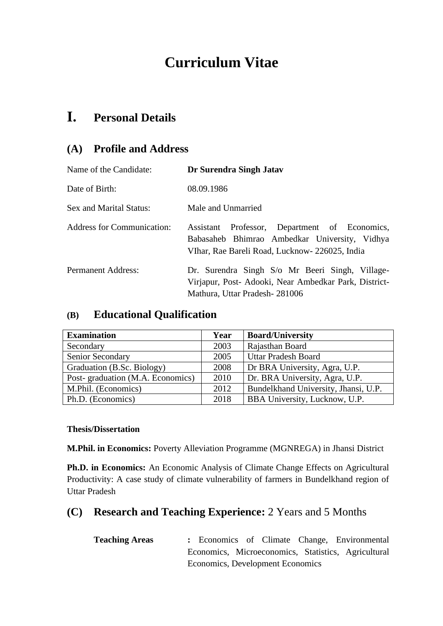# **Curriculum Vitae**

# **I. Personal Details**

# **(A) Profile and Address**

| Name of the Candidate:            | Dr Surendra Singh Jatav                                                                                                                             |  |  |  |  |  |
|-----------------------------------|-----------------------------------------------------------------------------------------------------------------------------------------------------|--|--|--|--|--|
| Date of Birth:                    | 08.09.1986                                                                                                                                          |  |  |  |  |  |
| Sex and Marital Status:           | Male and Unmarried                                                                                                                                  |  |  |  |  |  |
| <b>Address for Communication:</b> | Professor, Department of Economics,<br>Assistant<br>Babasaheb Bhimrao Ambedkar University, Vidhya<br>VIhar, Rae Bareli Road, Lucknow- 226025, India |  |  |  |  |  |
| <b>Permanent Address:</b>         | Dr. Surendra Singh S/o Mr Beeri Singh, Village-<br>Virjapur, Post- Adooki, Near Ambedkar Park, District-<br>Mathura, Uttar Pradesh - 281006         |  |  |  |  |  |

## **(B) Educational Qualification**

| <b>Examination</b>               | Year | <b>Board/University</b>              |
|----------------------------------|------|--------------------------------------|
| Secondary                        | 2003 | Rajasthan Board                      |
| Senior Secondary                 | 2005 | <b>Uttar Pradesh Board</b>           |
| Graduation (B.Sc. Biology)       | 2008 | Dr BRA University, Agra, U.P.        |
| Post-graduation (M.A. Economics) | 2010 | Dr. BRA University, Agra, U.P.       |
| M.Phil. (Economics)              | 2012 | Bundelkhand University, Jhansi, U.P. |
| Ph.D. (Economics)                | 2018 | <b>BBA University, Lucknow, U.P.</b> |

#### **Thesis/Dissertation**

**M.Phil. in Economics:** Poverty Alleviation Programme (MGNREGA) in Jhansi District

**Ph.D. in Economics:** An Economic Analysis of Climate Change Effects on Agricultural Productivity: A case study of climate vulnerability of farmers in Bundelkhand region of Uttar Pradesh

# **(C) Research and Teaching Experience:** 2 Years and 5 Months

| <b>Teaching Areas</b> |                                  |  |  |  |  | : Economics of Climate Change, Environmental        |
|-----------------------|----------------------------------|--|--|--|--|-----------------------------------------------------|
|                       |                                  |  |  |  |  | Economics, Microeconomics, Statistics, Agricultural |
|                       | Economics, Development Economics |  |  |  |  |                                                     |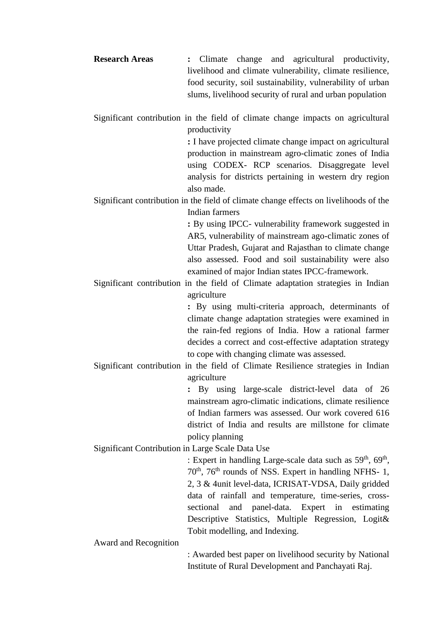**Research Areas :** Climate change and agricultural productivity, livelihood and climate vulnerability, climate resilience, food security, soil sustainability, vulnerability of urban slums, livelihood security of rural and urban population

Significant contribution in the field of climate change impacts on agricultural productivity

**:** I have projected climate change impact on agricultural production in mainstream agro-climatic zones of India using CODEX- RCP scenarios. Disaggregate level analysis for districts pertaining in western dry region also made.

Significant contribution in the field of climate change effects on livelihoods of the Indian farmers

> **:** By using IPCC- vulnerability framework suggested in AR5, vulnerability of mainstream ago-climatic zones of Uttar Pradesh, Gujarat and Rajasthan to climate change also assessed. Food and soil sustainability were also examined of major Indian states IPCC-framework.

Significant contribution in the field of Climate adaptation strategies in Indian agriculture

> **:** By using multi-criteria approach, determinants of climate change adaptation strategies were examined in the rain-fed regions of India. How a rational farmer decides a correct and cost-effective adaptation strategy to cope with changing climate was assessed.

Significant contribution in the field of Climate Resilience strategies in Indian agriculture

> **:** By using large-scale district-level data of 26 mainstream agro-climatic indications, climate resilience of Indian farmers was assessed. Our work covered 616 district of India and results are millstone for climate policy planning

Significant Contribution in Large Scale Data Use

: Expert in handling Large-scale data such as  $59<sup>th</sup>$ ,  $69<sup>th</sup>$ ,  $70<sup>th</sup>$ ,  $76<sup>th</sup>$  rounds of NSS. Expert in handling NFHS- 1, 2, 3 & 4unit level-data, ICRISAT-VDSA, Daily gridded data of rainfall and temperature, time-series, crosssectional and panel-data. Expert in estimating Descriptive Statistics, Multiple Regression, Logit& Tobit modelling, and Indexing.

Award and Recognition

: Awarded best paper on livelihood security by National Institute of Rural Development and Panchayati Raj.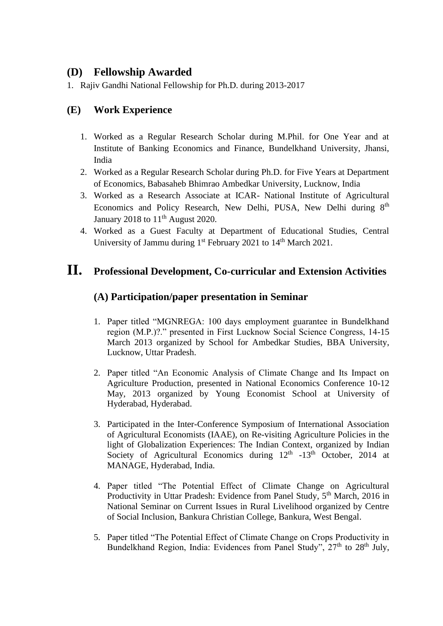## **(D) Fellowship Awarded**

1. Rajiv Gandhi National Fellowship for Ph.D. during 2013-2017

## **(E) Work Experience**

- 1. Worked as a Regular Research Scholar during M.Phil. for One Year and at Institute of Banking Economics and Finance, Bundelkhand University, Jhansi, India
- 2. Worked as a Regular Research Scholar during Ph.D. for Five Years at Department of Economics, Babasaheb Bhimrao Ambedkar University, Lucknow, India
- 3. Worked as a Research Associate at ICAR- National Institute of Agricultural Economics and Policy Research, New Delhi, PUSA, New Delhi during 8<sup>th</sup> January 2018 to  $11<sup>th</sup>$  August 2020.
- 4. Worked as a Guest Faculty at Department of Educational Studies, Central University of Jammu during 1<sup>st</sup> February 2021 to 14<sup>th</sup> March 2021.

# **II. Professional Development, Co-curricular and Extension Activities**

### **(A) Participation/paper presentation in Seminar**

- 1. Paper titled "MGNREGA: 100 days employment guarantee in Bundelkhand region (M.P.)?." presented in First Lucknow Social Science Congress, 14-15 March 2013 organized by School for Ambedkar Studies, BBA University, Lucknow, Uttar Pradesh.
- 2. Paper titled "An Economic Analysis of Climate Change and Its Impact on Agriculture Production, presented in National Economics Conference 10-12 May, 2013 organized by Young Economist School at University of Hyderabad, Hyderabad.
- 3. Participated in the Inter-Conference Symposium of International Association of Agricultural Economists (IAAE), on Re-visiting Agriculture Policies in the light of Globalization Experiences: The Indian Context, organized by Indian Society of Agricultural Economics during  $12<sup>th</sup>$  -13<sup>th</sup> October, 2014 at MANAGE, Hyderabad, India.
- 4. Paper titled "The Potential Effect of Climate Change on Agricultural Productivity in Uttar Pradesh: Evidence from Panel Study, 5<sup>th</sup> March, 2016 in National Seminar on Current Issues in Rural Livelihood organized by Centre of Social Inclusion, Bankura Christian College, Bankura, West Bengal.
- 5. Paper titled "The Potential Effect of Climate Change on Crops Productivity in Bundelkhand Region, India: Evidences from Panel Study", 27<sup>th</sup> to 28<sup>th</sup> July,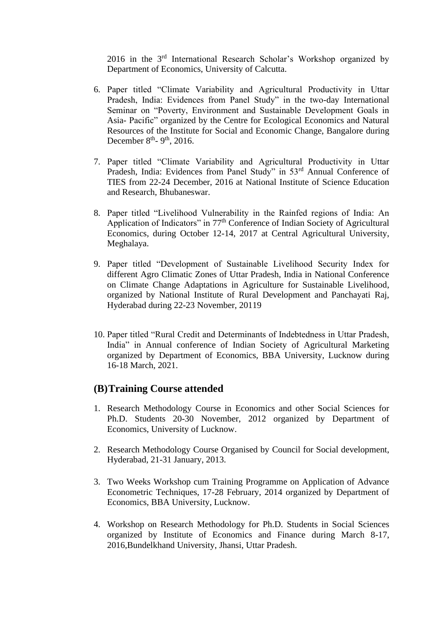2016 in the 3rd International Research Scholar's Workshop organized by Department of Economics, University of Calcutta.

- 6. Paper titled "Climate Variability and Agricultural Productivity in Uttar Pradesh, India: Evidences from Panel Study" in the two-day International Seminar on "Poverty, Environment and Sustainable Development Goals in Asia- Pacific" organized by the Centre for Ecological Economics and Natural Resources of the Institute for Social and Economic Change, Bangalore during December  $8<sup>th</sup>$ - 9<sup>th</sup>, 2016.
- 7. Paper titled "Climate Variability and Agricultural Productivity in Uttar Pradesh, India: Evidences from Panel Study" in 53rd Annual Conference of TIES from 22-24 December, 2016 at National Institute of Science Education and Research, Bhubaneswar.
- 8. Paper titled "Livelihood Vulnerability in the Rainfed regions of India: An Application of Indicators" in 77th Conference of Indian Society of Agricultural Economics, during October 12-14, 2017 at Central Agricultural University, Meghalaya.
- 9. Paper titled "Development of Sustainable Livelihood Security Index for different Agro Climatic Zones of Uttar Pradesh, India in National Conference on Climate Change Adaptations in Agriculture for Sustainable Livelihood, organized by National Institute of Rural Development and Panchayati Raj, Hyderabad during 22-23 November, 20119
- 10. Paper titled "Rural Credit and Determinants of Indebtedness in Uttar Pradesh, India" in Annual conference of Indian Society of Agricultural Marketing organized by Department of Economics, BBA University, Lucknow during 16-18 March, 2021.

#### **(B)Training Course attended**

- 1. Research Methodology Course in Economics and other Social Sciences for Ph.D. Students 20-30 November, 2012 organized by Department of Economics, University of Lucknow.
- 2. Research Methodology Course Organised by Council for Social development, Hyderabad, 21-31 January, 2013.
- 3. Two Weeks Workshop cum Training Programme on Application of Advance Econometric Techniques, 17-28 February, 2014 organized by Department of Economics, BBA University, Lucknow.
- 4. Workshop on Research Methodology for Ph.D. Students in Social Sciences organized by Institute of Economics and Finance during March 8-17, 2016,Bundelkhand University, Jhansi, Uttar Pradesh.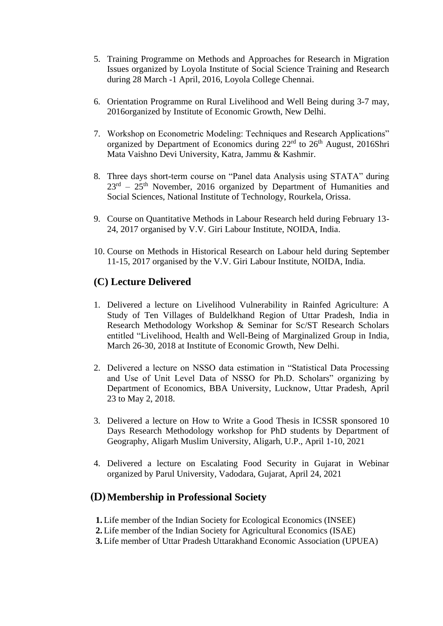- 5. Training Programme on Methods and Approaches for Research in Migration Issues organized by Loyola Institute of Social Science Training and Research during 28 March -1 April, 2016, Loyola College Chennai.
- 6. Orientation Programme on Rural Livelihood and Well Being during 3-7 may, 2016organized by Institute of Economic Growth, New Delhi.
- 7. Workshop on Econometric Modeling: Techniques and Research Applications" organized by Department of Economics during 22<sup>rd</sup> to 26<sup>th</sup> August, 2016Shri Mata Vaishno Devi University, Katra, Jammu & Kashmir.
- 8. Three days short-term course on "Panel data Analysis using STATA" during  $23<sup>rd</sup> - 25<sup>th</sup>$  November, 2016 organized by Department of Humanities and Social Sciences, National Institute of Technology, Rourkela, Orissa.
- 9. Course on Quantitative Methods in Labour Research held during February 13- 24, 2017 organised by V.V. Giri Labour Institute, NOIDA, India.
- 10. Course on Methods in Historical Research on Labour held during September 11-15, 2017 organised by the V.V. Giri Labour Institute, NOIDA, India.

#### **(C) Lecture Delivered**

- 1. Delivered a lecture on Livelihood Vulnerability in Rainfed Agriculture: A Study of Ten Villages of Buldelkhand Region of Uttar Pradesh, India in Research Methodology Workshop & Seminar for Sc/ST Research Scholars entitled "Livelihood, Health and Well-Being of Marginalized Group in India, March 26-30, 2018 at Institute of Economic Growth, New Delhi.
- 2. Delivered a lecture on NSSO data estimation in "Statistical Data Processing and Use of Unit Level Data of NSSO for Ph.D. Scholars" organizing by Department of Economics, BBA University, Lucknow, Uttar Pradesh, April 23 to May 2, 2018.
- 3. Delivered a lecture on How to Write a Good Thesis in ICSSR sponsored 10 Days Research Methodology workshop for PhD students by Department of Geography, Aligarh Muslim University, Aligarh, U.P., April 1-10, 2021
- 4. Delivered a lecture on Escalating Food Security in Gujarat in Webinar organized by Parul University, Vadodara, Gujarat, April 24, 2021

## (D)**Membership in Professional Society**

- **1.** Life member of the Indian Society for Ecological Economics (INSEE)
- **2.** Life member of the Indian Society for Agricultural Economics (ISAE)
- **3.** Life member of Uttar Pradesh Uttarakhand Economic Association (UPUEA)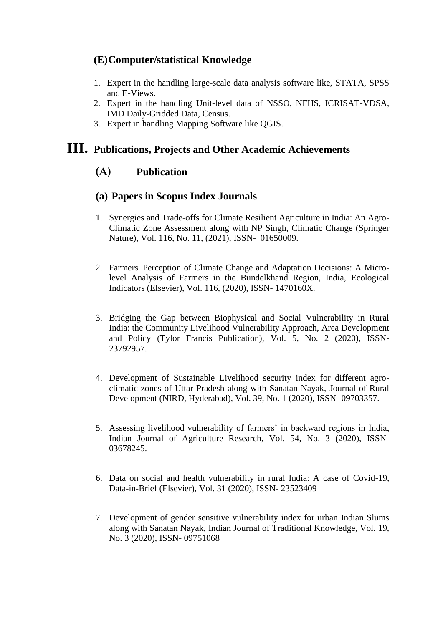### **(E)Computer/statistical Knowledge**

- 1. Expert in the handling large-scale data analysis software like, STATA, SPSS and E-Views.
- 2. Expert in the handling Unit-level data of NSSO, NFHS, ICRISAT-VDSA, IMD Daily-Gridded Data, Census.
- 3. Expert in handling Mapping Software like QGIS.

## **III. Publications, Projects and Other Academic Achievements**

#### (A) **Publication**

#### **(a) Papers in Scopus Index Journals**

- 1. Synergies and Trade-offs for Climate Resilient Agriculture in India: An Agro-Climatic Zone Assessment along with NP Singh, Climatic Change (Springer Nature), Vol. 116, No. 11, (2021), ISSN- 01650009.
- 2. Farmers' Perception of Climate Change and Adaptation Decisions: A Microlevel Analysis of Farmers in the Bundelkhand Region, India, Ecological Indicators (Elsevier), Vol. 116, (2020), ISSN- 1470160X.
- 3. Bridging the Gap between Biophysical and Social Vulnerability in Rural India: the Community Livelihood Vulnerability Approach, Area Development and Policy (Tylor Francis Publication), Vol. 5, No. 2 (2020), ISSN-23792957.
- 4. Development of Sustainable Livelihood security index for different agroclimatic zones of Uttar Pradesh along with Sanatan Nayak, Journal of Rural Development (NIRD, Hyderabad), Vol. 39, No. 1 (2020), ISSN- 09703357.
- 5. Assessing livelihood vulnerability of farmers' in backward regions in India, Indian Journal of Agriculture Research, Vol. 54, No. 3 (2020), ISSN-03678245.
- 6. Data on social and health vulnerability in rural India: A case of Covid-19, Data-in-Brief (Elsevier), Vol. 31 (2020), ISSN- 23523409
- 7. Development of gender sensitive vulnerability index for urban Indian Slums along with Sanatan Nayak, Indian Journal of Traditional Knowledge, Vol. 19, No. 3 (2020), ISSN- 09751068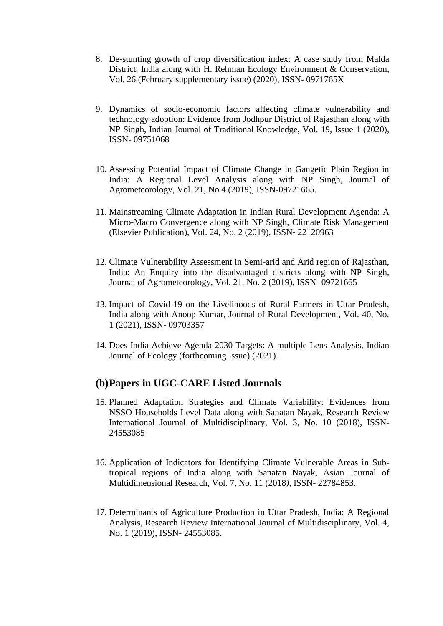- 8. De-stunting growth of crop diversification index: A case study from Malda District, India along with H. Rehman Ecology Environment & Conservation, Vol. 26 (February supplementary issue) (2020), ISSN- 0971765X
- 9. Dynamics of socio-economic factors affecting climate vulnerability and technology adoption: Evidence from Jodhpur District of Rajasthan along with NP Singh, Indian Journal of Traditional Knowledge, Vol. 19, Issue 1 (2020), ISSN- 09751068
- 10. Assessing Potential Impact of Climate Change in Gangetic Plain Region in India: A Regional Level Analysis along with NP Singh, Journal of Agrometeorology, Vol. 21, No 4 (2019), ISSN-09721665.
- 11. Mainstreaming Climate Adaptation in Indian Rural Development Agenda: A Micro-Macro Convergence along with NP Singh, Climate Risk Management (Elsevier Publication), Vol. 24, No. 2 (2019), ISSN- 22120963
- 12. Climate Vulnerability Assessment in Semi-arid and Arid region of Rajasthan, India: An Enquiry into the disadvantaged districts along with NP Singh, Journal of Agrometeorology, Vol. 21, No. 2 (2019), ISSN- 09721665
- 13. Impact of Covid-19 on the Livelihoods of Rural Farmers in Uttar Pradesh, India along with Anoop Kumar, Journal of Rural Development, Vol. 40, No. 1 (2021), ISSN- 09703357
- 14. Does India Achieve Agenda 2030 Targets: A multiple Lens Analysis, Indian Journal of Ecology (forthcoming Issue) (2021).

#### **(b)Papers in UGC-CARE Listed Journals**

- 15. Planned Adaptation Strategies and Climate Variability: Evidences from NSSO Households Level Data along with Sanatan Nayak, Research Review International Journal of Multidisciplinary, Vol. 3, No. 10 (2018), ISSN*-*24553085
- 16. Application of Indicators for Identifying Climate Vulnerable Areas in Subtropical regions of India along with Sanatan Nayak, Asian Journal of Multidimensional Research, Vol. 7, No. 11 (2018*),* ISSN- 22784853.
- 17. Determinants of Agriculture Production in Uttar Pradesh, India: A Regional Analysis, Research Review International Journal of Multidisciplinary, Vol. 4, No. 1 (2019), ISSN- 24553085.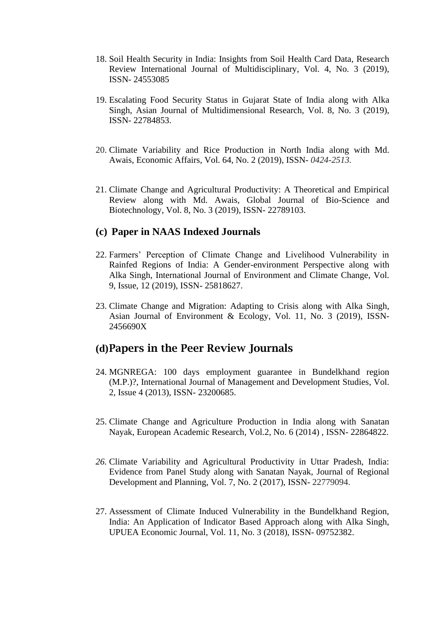- 18. Soil Health Security in India: Insights from Soil Health Card Data, Research Review International Journal of Multidisciplinary*,* Vol. 4, No. 3 (2019), ISSN*-* 24553085
- 19. Escalating Food Security Status in Gujarat State of India along with Alka Singh, Asian Journal of Multidimensional Research*,* Vol. 8, No. 3 (2019), ISSN*-* 22784853.
- 20. Climate Variability and Rice Production in North India along with Md. Awais, Economic Affairs, Vol. 64, No. 2 (2019), ISSN*- 0424-2513.*
- 21. Climate Change and Agricultural Productivity: A Theoretical and Empirical Review along with Md. Awais, Global Journal of Bio-Science and Biotechnology, Vol. 8, No. 3 (2019), ISSN- 22789103.

#### **(c) Paper in NAAS Indexed Journals**

- 22. Farmers' Perception of Climate Change and Livelihood Vulnerability in Rainfed Regions of India: A Gender-environment Perspective along with Alka Singh, International Journal of Environment and Climate Change, Vol. 9, Issue, 12 (2019), ISSN- 25818627.
- 23. Climate Change and Migration: Adapting to Crisis along with Alka Singh, Asian Journal of Environment & Ecology, Vol. 11, No. 3 (2019), ISSN-2456690X

#### **(d)**Papers in the Peer Review Journals

- 24. MGNREGA: 100 days employment guarantee in Bundelkhand region (M.P.)?, International Journal of Management and Development Studies, Vol. 2, Issue 4 (2013), ISSN*-* 23200685.
- 25. Climate Change and Agriculture Production in India along with Sanatan Nayak, European Academic Research, Vol.2, No. 6 (2014) , ISSN- 22864822.
- *26.* Climate Variability and Agricultural Productivity in Uttar Pradesh, India: Evidence from Panel Study along with Sanatan Nayak, Journal of Regional Development and Planning, Vol. 7, No. 2 (2017), ISSN- 22779094.
- 27. Assessment of Climate Induced Vulnerability in the Bundelkhand Region, India: An Application of Indicator Based Approach along with Alka Singh, UPUEA Economic Journal, Vol. 11, No. 3 (2018), ISSN*-* 09752382.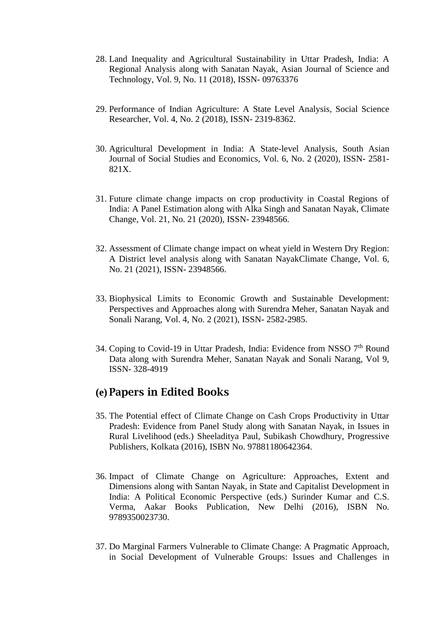- 28. Land Inequality and Agricultural Sustainability in Uttar Pradesh, India: A Regional Analysis along with Sanatan Nayak, Asian Journal of Science and Technology, Vol. 9, No. 11 (2018), ISSN- 09763376
- 29. Performance of Indian Agriculture: A State Level Analysis, Social Science Researcher, Vol. 4, No. 2 (2018), ISSN*-* 2319-8362.
- 30. Agricultural Development in India: A State-level Analysis, South Asian Journal of Social Studies and Economics, Vol. 6, No. 2 (2020), ISSN- 2581- 821X.
- 31. Future climate change impacts on crop productivity in Coastal Regions of India: A Panel Estimation along with Alka Singh and Sanatan Nayak, Climate Change, Vol. 21, No. 21 (2020), ISSN- 23948566.
- 32. Assessment of Climate change impact on wheat yield in Western Dry Region: A District level analysis along with Sanatan NayakClimate Change, Vol. 6, No. 21 (2021), ISSN- 23948566.
- 33. Biophysical Limits to Economic Growth and Sustainable Development: Perspectives and Approaches along with Surendra Meher, Sanatan Nayak and Sonali Narang, Vol. 4, No. 2 (2021), ISSN- 2582-2985.
- 34. Coping to Covid-19 in Uttar Pradesh, India: Evidence from NSSO  $7<sup>th</sup>$  Round Data along with Surendra Meher, Sanatan Nayak and Sonali Narang, Vol 9, ISSN- 328-4919

#### **(e)** Papers in Edited Books

- 35. The Potential effect of Climate Change on Cash Crops Productivity in Uttar Pradesh: Evidence from Panel Study along with Sanatan Nayak, in Issues in Rural Livelihood (eds.) Sheeladitya Paul, Subikash Chowdhury, Progressive Publishers, Kolkata (2016), ISBN No. 97881180642364.
- 36. Impact of Climate Change on Agriculture: Approaches, Extent and Dimensions along with Santan Nayak, in State and Capitalist Development in India: A Political Economic Perspective (eds.) Surinder Kumar and C.S. Verma, Aakar Books Publication, New Delhi (2016), ISBN No. 9789350023730.
- 37. Do Marginal Farmers Vulnerable to Climate Change: A Pragmatic Approach, in Social Development of Vulnerable Groups: Issues and Challenges in